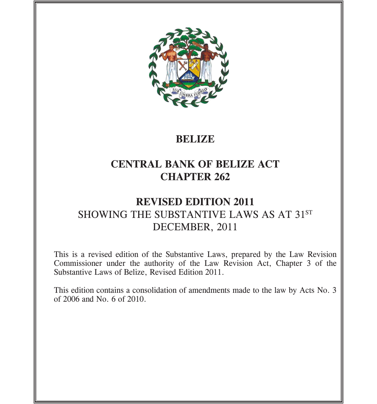

# **BELIZE**

# **CENTRAL BANK OF BELIZE ACT CHAPTER 262**

# **REVISED EDITION 2011** SHOWING THE SUBSTANTIVE LAWS AS AT 31ST DECEMBER, 2011

This is a revised edition of the Substantive Laws, prepared by the Law Revision Commissioner under the authority of the Law Revision Act, Chapter 3 of the Substantive Laws of Belize, Revised Edition 2011.

This edition contains a consolidation of amendments made to the law by Acts No. 3 of 2006 and No. 6 of 2010.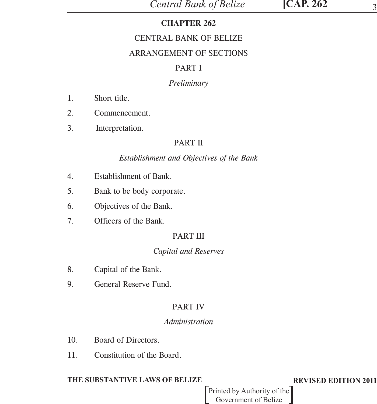## **CHAPTER 262**

## CENTRAL BANK OF BELIZE

## ARRANGEMENT OF SECTIONS

## PART I

## *Preliminary*

- 1. Short title.
- 2. Commencement.
- 3. Interpretation.

## PART II

## *Establishment and Objectives of the Bank*

- 4. Establishment of Bank.
- 5. Bank to be body corporate.
- 6. Objectives of the Bank.
- 7. Officers of the Bank.

## PART III

## *Capital and Reserves*

- 8. Capital of the Bank.
- 9. General Reserve Fund.

## PART IV

## *Administration*

- 10. Board of Directors.
- 11. Constitution of the Board.

## **THE SUBSTANTIVE LAWS OF BELIZE REVISED EDITION 2011**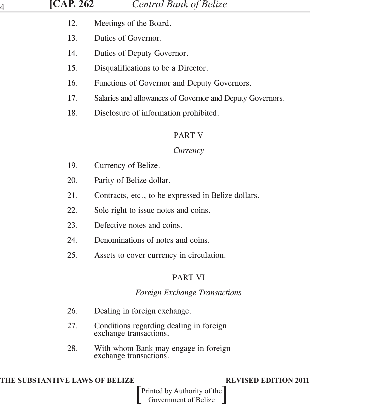| <b>[CAP. 262</b><br>4 | <b>Central Bank of Belize</b>                                     |
|-----------------------|-------------------------------------------------------------------|
| 12.                   | Meetings of the Board.                                            |
| 13.                   | Duties of Governor.                                               |
| 14.                   | Duties of Deputy Governor.                                        |
| 15.                   | Disqualifications to be a Director.                               |
| 16.                   | Functions of Governor and Deputy Governors.                       |
| 17.                   | Salaries and allowances of Governor and Deputy Governors.         |
| 18.                   | Disclosure of information prohibited.                             |
|                       | <b>PART V</b>                                                     |
|                       | Currency                                                          |
| 19.                   | Currency of Belize.                                               |
| 20.                   | Parity of Belize dollar.                                          |
| 21.                   | Contracts, etc., to be expressed in Belize dollars.               |
| 22.                   | Sole right to issue notes and coins.                              |
| 23.                   | Defective notes and coins.                                        |
| 24.                   | Denominations of notes and coins.                                 |
| 25.                   | Assets to cover currency in circulation.                          |
|                       | <b>PART VI</b>                                                    |
|                       | <b>Foreign Exchange Transactions</b>                              |
| 26.                   | Dealing in foreign exchange.                                      |
| 27.                   | Conditions regarding dealing in foreign<br>exchange transactions. |
| 28.                   | With whom Bank may engage in foreign<br>exchange transactions.    |

## **THE SUBSTANTIVE LAWS OF BELIZE REVISED EDITION 2011**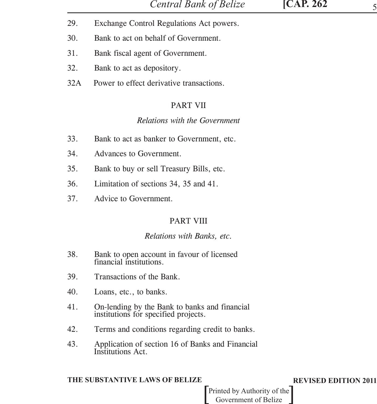- 
- 29. Exchange Control Regulations Act powers.
- 30. Bank to act on behalf of Government.
- 31. Bank fiscal agent of Government.
- 32. Bank to act as depository.
- 32A Power to effect derivative transactions.

## PART VII

## *Relations with the Government*

- 33. Bank to act as banker to Government, etc.
- 34. Advances to Government.
- 35. Bank to buy or sell Treasury Bills, etc.
- 36. Limitation of sections 34, 35 and 41.
- 37. Advice to Government.

# PART VIII

## *Relations with Banks, etc.*

- 38. Bank to open account in favour of licensed financial institutions.
- 39. Transactions of the Bank.
- 40. Loans, etc., to banks.
- 41. On-lending by the Bank to banks and financial institutions for specified projects.
- 42. Terms and conditions regarding credit to banks.
- 43. Application of section 16 of Banks and Financial Institutions Act.

## **THE SUBSTANTIVE LAWS OF BELIZE REVISED EDITION 2011**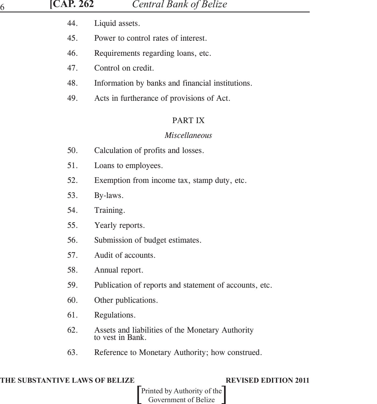| ICAP. 2 |  |
|---------|--|
|         |  |

- 44. Liquid assets.
- 45. Power to control rates of interest.
- 46. Requirements regarding loans, etc.
- 47. Control on credit.
- 48. Information by banks and financial institutions.
- 49. Acts in furtherance of provisions of Act.

## PART IX

## *Miscellaneous*

- 50. Calculation of profits and losses.
- 51. Loans to employees.
- 52. Exemption from income tax, stamp duty, etc.
- 53. By-laws.
- 54. Training.
- 55. Yearly reports.
- 56. Submission of budget estimates.
- 57. Audit of accounts.
- 58. Annual report.
- 59. Publication of reports and statement of accounts, etc.
- 60. Other publications.
- 61. Regulations.
- 62. Assets and liabilities of the Monetary Authority to vest in Bank.
- 63. Reference to Monetary Authority; how construed.

## **THE SUBSTANTIVE LAWS OF BELIZE REVISED EDITION 2011**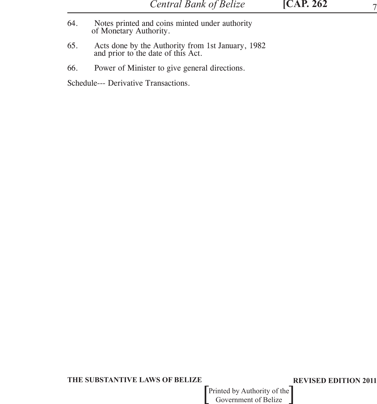- 64. Notes printed and coins minted under authority of Monetary Authority.
- 65. Acts done by the Authority from 1st January, 1982 and prior to the date of this Act.
- 66. Power of Minister to give general directions.

Schedule--- Derivative Transactions.

### **THE SUBSTANTIVE LAWS OF BELIZE REVISED EDITION 2011**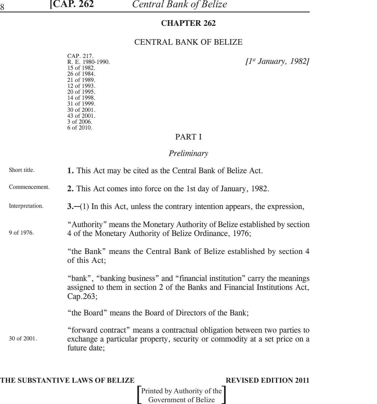## **CHAPTER 262**

## CENTRAL BANK OF BELIZE

CAP. 217.<br>R. E. 1980-1990. 15 of 1982. 26 of 1984. 21 of 1989. 12 of 1993. 20 of 1995. 14 of 1998. 31 of 1999. 30 of 2001. 43 of 2001. 3 of 2006. 6 of 2010.

R. E. 1980-1990. *[1st January, 1982]*

## PART I

## *Preliminary*

| Short title.    | 1. This Act may be cited as the Central Bank of Belize Act.                                                                                                           |
|-----------------|-----------------------------------------------------------------------------------------------------------------------------------------------------------------------|
| Commencement.   | 2. This Act comes into force on the 1st day of January, 1982.                                                                                                         |
| Interpretation. | $3$ .—(1) In this Act, unless the contrary intention appears, the expression,                                                                                         |
| 9 of 1976.      | "Authority" means the Monetary Authority of Belize established by section<br>4 of the Monetary Authority of Belize Ordinance, 1976;                                   |
|                 | "the Bank" means the Central Bank of Belize established by section 4<br>of this Act;                                                                                  |
|                 | "bank", "banking business" and "financial institution" carry the meanings<br>assigned to them in section 2 of the Banks and Financial Institutions Act,<br>Cap.263;   |
|                 | "the Board" means the Board of Directors of the Bank;                                                                                                                 |
| 30 of 2001.     | "forward contract" means a contractual obligation between two parties to<br>exchange a particular property, security or commodity at a set price on a<br>future date; |

**THE SUBSTANTIVE LAWS OF BELIZE REVISED EDITION 2011**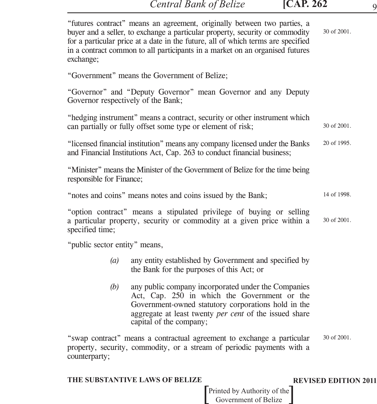| exchange;                                                                  | "futures contract" means an agreement, originally between two parties, a<br>buyer and a seller, to exchange a particular property, security or commodity<br>for a particular price at a date in the future, all of which terms are specified<br>in a contract common to all participants in a market on an organised futures | 30 of 2001.                 |  |
|----------------------------------------------------------------------------|------------------------------------------------------------------------------------------------------------------------------------------------------------------------------------------------------------------------------------------------------------------------------------------------------------------------------|-----------------------------|--|
|                                                                            | "Government" means the Government of Belize;                                                                                                                                                                                                                                                                                 |                             |  |
| Governor respectively of the Bank;                                         | "Governor" and "Deputy Governor" mean Governor and any Deputy                                                                                                                                                                                                                                                                |                             |  |
|                                                                            | "hedging instrument" means a contract, security or other instrument which<br>can partially or fully offset some type or element of risk;                                                                                                                                                                                     | 30 of 2001.                 |  |
|                                                                            | "licensed financial institution" means any company licensed under the Banks<br>and Financial Institutions Act, Cap. 263 to conduct financial business;                                                                                                                                                                       | 20 of 1995.                 |  |
| responsible for Finance;                                                   | "Minister" means the Minister of the Government of Belize for the time being                                                                                                                                                                                                                                                 |                             |  |
| "notes and coins" means notes and coins issued by the Bank;<br>14 of 1998. |                                                                                                                                                                                                                                                                                                                              |                             |  |
| specified time;                                                            | "option contract" means a stipulated privilege of buying or selling<br>a particular property, security or commodity at a given price within a                                                                                                                                                                                | 30 of 2001.                 |  |
| "public sector entity" means,                                              |                                                                                                                                                                                                                                                                                                                              |                             |  |
| (a)                                                                        | any entity established by Government and specified by<br>the Bank for the purposes of this Act; or                                                                                                                                                                                                                           |                             |  |
| (b)                                                                        | any public company incorporated under the Companies<br>Act, Cap. 250 in which the Government or the<br>Government-owned statutory corporations hold in the<br>aggregate at least twenty <i>per cent</i> of the issued share<br>capital of the company;                                                                       |                             |  |
| counterparty;                                                              | "swap contract" means a contractual agreement to exchange a particular<br>property, security, commodity, or a stream of periodic payments with a                                                                                                                                                                             | 30 of 2001.                 |  |
|                                                                            | THE SUBSTANTIVE LAWS OF BELIZE                                                                                                                                                                                                                                                                                               | <b>REVISED EDITION 2011</b> |  |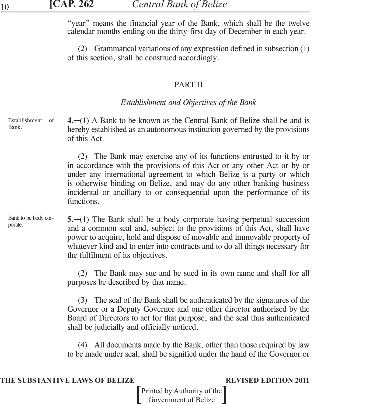"year" means the financial year of the Bank, which shall be the twelve calendar months ending on the thirty-first day of December in each year.

(2) Grammatical variations of any expression defined in subsection (1) of this section, shall be construed accordingly.

## PART II

## *Establishment and Objectives of the Bank*

**4.**─(1) A Bank to be known as the Central Bank of Belize shall be and is hereby established as an autonomous institution governed by the provisions of this Act. Establishment of Bank.

> (2) The Bank may exercise any of its functions entrusted to it by or in accordance with the provisions of this Act or any other Act or by or under any international agreement to which Belize is a party or which is otherwise binding on Belize, and may do any other banking business incidental or ancillary to or consequential upon the performance of its functions.

**5.**─(1) The Bank shall be a body corporate having perpetual succession and a common seal and, subject to the provisions of this Act, shall have power to acquire, hold and dispose of movable and immovable property of whatever kind and to enter into contracts and to do all things necessary for the fulfilment of its objectives. Bank to be body corporate.

> (2) The Bank may sue and be sued in its own name and shall for all purposes be described by that name.

> (3) The seal of the Bank shall be authenticated by the signatures of the Governor or a Deputy Governor and one other director authorised by the Board of Directors to act for that purpose, and the seal thus authenticated shall be judicially and officially noticed.

> (4) All documents made by the Bank, other than those required by law to be made under seal, shall be signified under the hand of the Governor or

## **THE SUBSTANTIVE LAWS OF BELIZE REVISED EDITION 2011**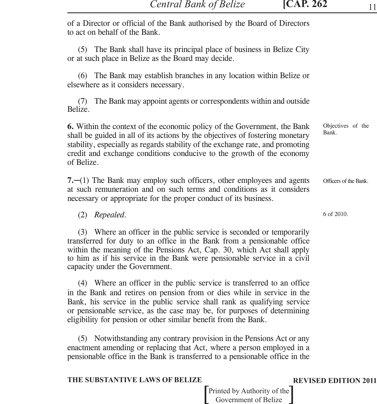of a Director or official of the Bank authorised by the Board of Directors to act on behalf of the Bank.

(5) The Bank shall have its principal place of business in Belize City or at such place in Belize as the Board may decide.

(6) The Bank may establish branches in any location within Belize or elsewhere as it considers necessary.

(7) The Bank may appoint agents or correspondents within and outside Belize.

**6.** Within the context of the economic policy of the Government, the Bank shall be guided in all of its actions by the objectives of fostering monetary stability, especially as regards stability of the exchange rate, and promoting credit and exchange conditions conducive to the growth of the economy of Belize. Objectives of the Bank.

**7.**─(1) The Bank may employ such officers, other employees and agents at such remuneration and on such terms and conditions as it considers necessary or appropriate for the proper conduct of its business. Officers of the Bank.

(2) *Repealed.*

(3) Where an officer in the public service is seconded or temporarily transferred for duty to an office in the Bank from a pensionable office within the meaning of the Pensions Act, Cap. 30, which Act shall apply to him as if his service in the Bank were pensionable service in a civil capacity under the Government.

(4) Where an officer in the public service is transferred to an office in the Bank and retires on pension from or dies while in service in the Bank, his service in the public service shall rank as qualifying service or pensionable service, as the case may be, for purposes of determining eligibility for pension or other similar benefit from the Bank.

(5) Notwithstanding any contrary provision in the Pensions Act or any enactment amending or replacing that Act, where a person employed in a pensionable office in the Bank is transferred to a pensionable office in the

## **THE SUBSTANTIVE LAWS OF BELIZE REVISED EDITION 2011**

6 of 2010.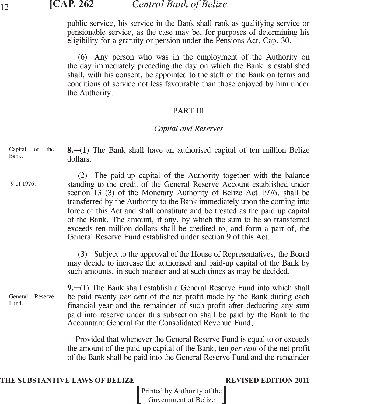public service, his service in the Bank shall rank as qualifying service or pensionable service, as the case may be, for purposes of determining his eligibility for a gratuity or pension under the Pensions Act, Cap. 30.

(6) Any person who was in the employment of the Authority on the day immediately preceding the day on which the Bank is established shall, with his consent, be appointed to the staff of the Bank on terms and conditions of service not less favourable than those enjoyed by him under the Authority.

## PART III

## *Capital and Reserves*

**8.**─(1) The Bank shall have an authorised capital of ten million Belize dollars. Capital of the Bank.

(2) The paid-up capital of the Authority together with the balance standing to the credit of the General Reserve Account established under section 13 (3) of the Monetary Authority of Belize Act 1976, shall be transferred by the Authority to the Bank immediately upon the coming into force of this Act and shall constitute and be treated as the paid up capital of the Bank. The amount, if any, by which the sum to be so transferred exceeds ten million dollars shall be credited to, and form a part of, the General Reserve Fund established under section 9 of this Act. 9 of 1976.

> (3) Subject to the approval of the House of Representatives, the Board may decide to increase the authorised and paid-up capital of the Bank by such amounts, in such manner and at such times as may be decided.

General Reserve Fund.

**9.**─(1) The Bank shall establish a General Reserve Fund into which shall be paid twenty *per ce*nt of the net profit made by the Bank during each financial year and the remainder of such profit after deducting any sum paid into reserve under this subsection shall be paid by the Bank to the Accountant General for the Consolidated Revenue Fund,

 Provided that whenever the General Reserve Fund is equal to or exceeds the amount of the paid-up capital of the Bank, ten *per cent* of the net profit of the Bank shall be paid into the General Reserve Fund and the remainder

### **THE SUBSTANTIVE LAWS OF BELIZE REVISED EDITION 2011**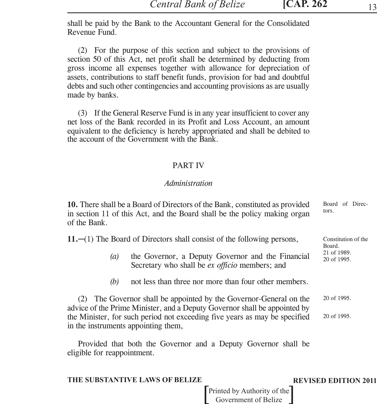shall be paid by the Bank to the Accountant General for the Consolidated Revenue Fund.

(2) For the purpose of this section and subject to the provisions of section 50 of this Act, net profit shall be determined by deducting from gross income all expenses together with allowance for depreciation of assets, contributions to staff benefit funds, provision for bad and doubtful debts and such other contingencies and accounting provisions as are usually made by banks.

(3) If the General Reserve Fund is in any year insufficient to cover any net loss of the Bank recorded in its Profit and Loss Account, an amount equivalent to the deficiency is hereby appropriated and shall be debited to the account of the Government with the Bank.

## PART IV

## *Administration*

**10.** There shall be a Board of Directors of the Bank, constituted as provided in section 11 of this Act, and the Board shall be the policy making organ of the Bank. Board of Directors.

**11.**─(1) The Board of Directors shall consist of the following persons,

- *(a)* the Governor, a Deputy Governor and the Financial Secretary who shall be *ex officio* members; and
- *(b)* not less than three nor more than four other members.

(2) The Governor shall be appointed by the Governor-General on the advice of the Prime Minister, and a Deputy Governor shall be appointed by the Minister, for such period not exceeding five years as may be specified in the instruments appointing them, 20 of 1995. 20 of 1995.

Provided that both the Governor and a Deputy Governor shall be eligible for reappointment.

## **THE SUBSTANTIVE LAWS OF BELIZE REVISED EDITION 2011**

Constitution of the

Board. 21 of 1989. 20 of 1995.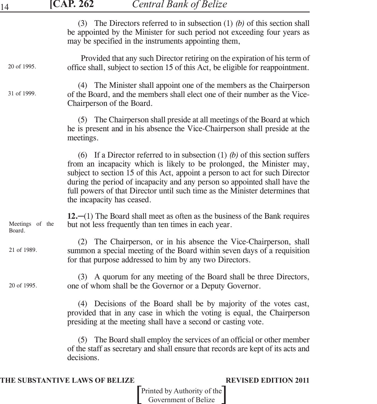| 14                        | <b>CAP. 262</b><br><b>Central Bank of Belize</b>                                                                                                                                                                                                                                                                                                                                                                                 |
|---------------------------|----------------------------------------------------------------------------------------------------------------------------------------------------------------------------------------------------------------------------------------------------------------------------------------------------------------------------------------------------------------------------------------------------------------------------------|
|                           | The Directors referred to in subsection $(1)$ (b) of this section shall<br>(3)<br>be appointed by the Minister for such period not exceeding four years as<br>may be specified in the instruments appointing them,                                                                                                                                                                                                               |
| 20 of 1995.               | Provided that any such Director retiring on the expiration of his term of<br>office shall, subject to section 15 of this Act, be eligible for reappointment.                                                                                                                                                                                                                                                                     |
| 31 of 1999.               | (4) The Minister shall appoint one of the members as the Chairperson<br>of the Board, and the members shall elect one of their number as the Vice-<br>Chairperson of the Board.                                                                                                                                                                                                                                                  |
|                           | (5) The Chairperson shall preside at all meetings of the Board at which<br>he is present and in his absence the Vice-Chairperson shall preside at the<br>meetings.                                                                                                                                                                                                                                                               |
|                           | (6) If a Director referred to in subsection (1) (b) of this section suffers<br>from an incapacity which is likely to be prolonged, the Minister may,<br>subject to section 15 of this Act, appoint a person to act for such Director<br>during the period of incapacity and any person so appointed shall have the<br>full powers of that Director until such time as the Minister determines that<br>the incapacity has ceased. |
| Meetings of the<br>Board. | 12. $-(1)$ The Board shall meet as often as the business of the Bank requires<br>but not less frequently than ten times in each year.                                                                                                                                                                                                                                                                                            |
| 21 of 1989.               | The Chairperson, or in his absence the Vice-Chairperson, shall<br>(2)<br>summon a special meeting of the Board within seven days of a requisition<br>for that purpose addressed to him by any two Directors.                                                                                                                                                                                                                     |
| 20 of 1995.               | (3) A quorum for any meeting of the Board shall be three Directors,<br>one of whom shall be the Governor or a Deputy Governor.                                                                                                                                                                                                                                                                                                   |
|                           | (4) Decisions of the Board shall be by majority of the votes cast,<br>provided that in any case in which the voting is equal, the Chairperson<br>presiding at the meeting shall have a second or casting vote.                                                                                                                                                                                                                   |
|                           | (5) The Board shall employ the services of an official or other member<br>of the staff as secretary and shall ensure that records are kept of its acts and<br>decisions.                                                                                                                                                                                                                                                         |

## **THE SUBSTANTIVE LAWS OF BELIZE REVISED EDITION 2011**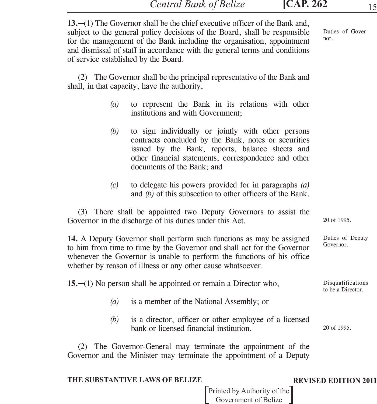| 13. $-(1)$ The Governor shall be the chief executive officer of the Bank and,<br>subject to the general policy decisions of the Board, shall be responsible<br>for the management of the Bank including the organisation, appointment<br>and dismissal of staff in accordance with the general terms and conditions<br>of service established by the Board. | Duties of Gover-<br>nor.                                                                                                                                                                                                                            |                                        |  |  |
|-------------------------------------------------------------------------------------------------------------------------------------------------------------------------------------------------------------------------------------------------------------------------------------------------------------------------------------------------------------|-----------------------------------------------------------------------------------------------------------------------------------------------------------------------------------------------------------------------------------------------------|----------------------------------------|--|--|
|                                                                                                                                                                                                                                                                                                                                                             | (2) The Governor shall be the principal representative of the Bank and<br>shall, in that capacity, have the authority,                                                                                                                              |                                        |  |  |
| (a)                                                                                                                                                                                                                                                                                                                                                         | to represent the Bank in its relations with other<br>institutions and with Government;                                                                                                                                                              |                                        |  |  |
| (b)                                                                                                                                                                                                                                                                                                                                                         | to sign individually or jointly with other persons<br>contracts concluded by the Bank, notes or securities<br>issued by the Bank, reports, balance sheets and<br>other financial statements, correspondence and other<br>documents of the Bank; and |                                        |  |  |
| (c)                                                                                                                                                                                                                                                                                                                                                         | to delegate his powers provided for in paragraphs $(a)$<br>and $(b)$ of this subsection to other officers of the Bank.                                                                                                                              |                                        |  |  |
| (3) There shall be appointed two Deputy Governors to assist the<br>Governor in the discharge of his duties under this Act.                                                                                                                                                                                                                                  | 20 of 1995.                                                                                                                                                                                                                                         |                                        |  |  |
| 14. A Deputy Governor shall perform such functions as may be assigned<br>to him from time to time by the Governor and shall act for the Governor<br>whenever the Governor is unable to perform the functions of his office<br>whether by reason of illness or any other cause whatsoever.                                                                   | Duties of Deputy<br>Governor.                                                                                                                                                                                                                       |                                        |  |  |
|                                                                                                                                                                                                                                                                                                                                                             | 15. $-(1)$ No person shall be appointed or remain a Director who,                                                                                                                                                                                   | Disqualifications<br>to be a Director. |  |  |
| (a)                                                                                                                                                                                                                                                                                                                                                         | is a member of the National Assembly; or                                                                                                                                                                                                            |                                        |  |  |
| (b)                                                                                                                                                                                                                                                                                                                                                         | is a director, officer or other employee of a licensed<br>bank or licensed financial institution.                                                                                                                                                   | 20 of 1995.                            |  |  |
| (2) The Governor-General may terminate the appointment of the<br>Governor and the Minister may terminate the appointment of a Deputy                                                                                                                                                                                                                        |                                                                                                                                                                                                                                                     |                                        |  |  |

## **THE SUBSTANTIVE LAWS OF BELIZE REVISED EDITION 2011**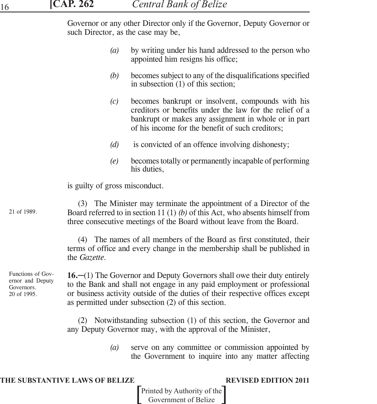Governor or any other Director only if the Governor, Deputy Governor or such Director, as the case may be,

- *(a)* by writing under his hand addressed to the person who appointed him resigns his office;
- *(b)* becomes subject to any of the disqualifications specified in subsection (1) of this section;
- *(c)* becomes bankrupt or insolvent, compounds with his creditors or benefits under the law for the relief of a bankrupt or makes any assignment in whole or in part of his income for the benefit of such creditors;
- *(d)* is convicted of an offence involving dishonesty;
- *(e)* becomes totally or permanently incapable of performing his duties,

is guilty of gross misconduct.

21 of 1989.

(3) The Minister may terminate the appointment of a Director of the Board referred to in section 11 (1) *(b)* of this Act, who absents himself from three consecutive meetings of the Board without leave from the Board.

(4) The names of all members of the Board as first constituted, their terms of office and every change in the membership shall be published in the *Gazette.*

Functions of Governor and Deputy Governors. 20 of 1995.

**16.**−(1) The Governor and Deputy Governors shall owe their duty entirely to the Bank and shall not engage in any paid employment or professional or business activity outside of the duties of their respective offices except as permitted under subsection (2) of this section.

(2) Notwithstanding subsection (1) of this section, the Governor and any Deputy Governor may, with the approval of the Minister,

> *(a)* serve on any committee or commission appointed by the Government to inquire into any matter affecting

### **THE SUBSTANTIVE LAWS OF BELIZE REVISED EDITION 2011**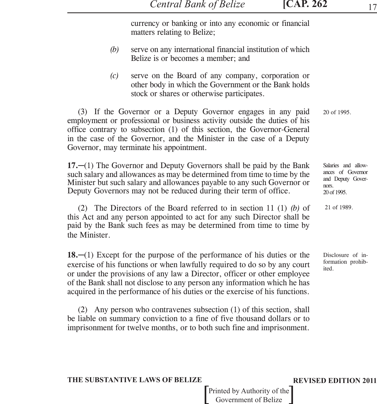currency or banking or into any economic or financial matters relating to Belize;

- *(b)* serve on any international financial institution of which Belize is or becomes a member; and
- *(c)* serve on the Board of any company, corporation or other body in which the Government or the Bank holds stock or shares or otherwise participates.

(3) If the Governor or a Deputy Governor engages in any paid employment or professional or business activity outside the duties of his office contrary to subsection (1) of this section, the Governor-General in the case of the Governor, and the Minister in the case of a Deputy Governor, may terminate his appointment.

**17.**─(1) The Governor and Deputy Governors shall be paid by the Bank such salary and allowances as may be determined from time to time by the Minister but such salary and allowances payable to any such Governor or Deputy Governors may not be reduced during their term of office.

(2) The Directors of the Board referred to in section 11 (1) *(b)* of this Act and any person appointed to act for any such Director shall be paid by the Bank such fees as may be determined from time to time by the Minister.

**18.**─(1) Except for the purpose of the performance of his duties or the exercise of his functions or when lawfully required to do so by any court or under the provisions of any law a Director, officer or other employee of the Bank shall not disclose to any person any information which he has acquired in the performance of his duties or the exercise of his functions.

(2) Any person who contravenes subsection (1) of this section, shall be liable on summary conviction to a fine of five thousand dollars or to imprisonment for twelve months, or to both such fine and imprisonment. 20 of 1995.

Salaries and allowances of Governor and Deputy Governors. 20 of 1995.

21 of 1989.

Disclosure of information prohibited.

### **THE SUBSTANTIVE LAWS OF BELIZE REVISED EDITION 2011**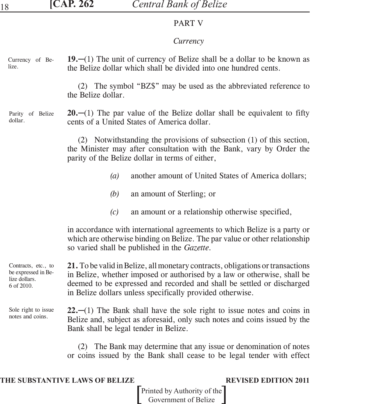## PART V

# *Currency*

| Currency of Be- | 19.—(1) The unit of currency of Belize shall be a dollar to be known as |
|-----------------|-------------------------------------------------------------------------|
| lize.           | the Belize dollar which shall be divided into one hundred cents.        |

(2) The symbol "BZ\$" may be used as the abbreviated reference to the Belize dollar.

### **20.**─(1) The par value of the Belize dollar shall be equivalent to fifty cents of a United States of America dollar. Parity of Belize dollar.

(2) Notwithstanding the provisions of subsection (1) of this section, the Minister may after consultation with the Bank, vary by Order the parity of the Belize dollar in terms of either,

- *(a)* another amount of United States of America dollars;
- *(b)* an amount of Sterling; or
- *(c)* an amount or a relationship otherwise specified,

in accordance with international agreements to which Belize is a party or which are otherwise binding on Belize. The par value or other relationship so varied shall be published in the *Gazette.*

**21.** To be valid in Belize, all monetary contracts, obligations or transactions in Belize, whether imposed or authorised by a law or otherwise, shall be deemed to be expressed and recorded and shall be settled or discharged in Belize dollars unless specifically provided otherwise. Contracts, etc., to be expressed in Belize dollars. 6 of 2010.

**22.**─(1) The Bank shall have the sole right to issue notes and coins in Belize and, subject as aforesaid, only such notes and coins issued by the Bank shall be legal tender in Belize. Sole right to issue notes and coins.

> (2) The Bank may determine that any issue or denomination of notes or coins issued by the Bank shall cease to be legal tender with effect

## **THE SUBSTANTIVE LAWS OF BELIZE REVISED EDITION 2011**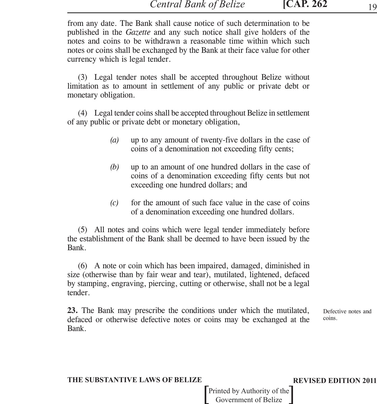from any date. The Bank shall cause notice of such determination to be published in the *Gazette* and any such notice shall give holders of the notes and coins to be withdrawn a reasonable time within which such notes or coins shall be exchanged by the Bank at their face value for other currency which is legal tender.

(3) Legal tender notes shall be accepted throughout Belize without limitation as to amount in settlement of any public or private debt or monetary obligation.

(4) Legal tender coins shall be accepted throughout Belize in settlement of any public or private debt or monetary obligation,

- *(a)* up to any amount of twenty-five dollars in the case of coins of a denomination not exceeding fifty cents;
- *(b)* up to an amount of one hundred dollars in the case of coins of a denomination exceeding fifty cents but not exceeding one hundred dollars; and
- *(c)* for the amount of such face value in the case of coins of a denomination exceeding one hundred dollars.

(5) All notes and coins which were legal tender immediately before the establishment of the Bank shall be deemed to have been issued by the Bank.

(6) A note or coin which has been impaired, damaged, diminished in size (otherwise than by fair wear and tear), mutilated, lightened, defaced by stamping, engraving, piercing, cutting or otherwise, shall not be a legal tender.

**23.** The Bank may prescribe the conditions under which the mutilated, defaced or otherwise defective notes or coins may be exchanged at the Bank.

Defective notes and coins.

### **THE SUBSTANTIVE LAWS OF BELIZE REVISED EDITION 2011**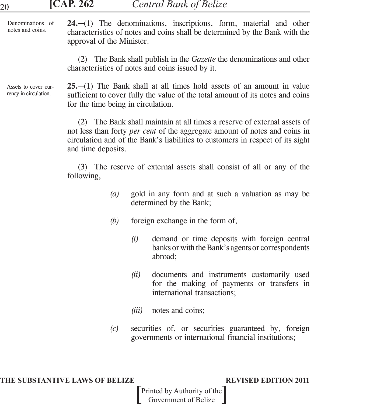|  | .7<br>៶∎<br>$\bullet$ | ï | 0z<br>٠ |
|--|-----------------------|---|---------|
|  |                       |   |         |

| Denominations of |                           | $24$ , $-(1)$ The denominations, inscriptions, form, material and other     |  |  |  |
|------------------|---------------------------|-----------------------------------------------------------------------------|--|--|--|
| notes and coins. |                           | characteristics of notes and coins shall be determined by the Bank with the |  |  |  |
|                  | approval of the Minister. |                                                                             |  |  |  |

(2) The Bank shall publish in the *Gazette* the denominations and other characteristics of notes and coins issued by it.

Assets to cover currency in circulation.

**25.**─(1) The Bank shall at all times hold assets of an amount in value sufficient to cover fully the value of the total amount of its notes and coins for the time being in circulation.

(2) The Bank shall maintain at all times a reserve of external assets of not less than forty *per cent* of the aggregate amount of notes and coins in circulation and of the Bank's liabilities to customers in respect of its sight and time deposits.

(3) The reserve of external assets shall consist of all or any of the following,

- *(a)* gold in any form and at such a valuation as may be determined by the Bank;
- *(b)* foreign exchange in the form of,
	- *(i)* demand or time deposits with foreign central banks or with the Bank's agents or correspondents abroad;
	- *(ii)* documents and instruments customarily used for the making of payments or transfers in international transactions;
	- *(iii)* notes and coins;
- *(c)* securities of, or securities guaranteed by, foreign governments or international financial institutions;

### **THE SUBSTANTIVE LAWS OF BELIZE REVISED EDITION 2011**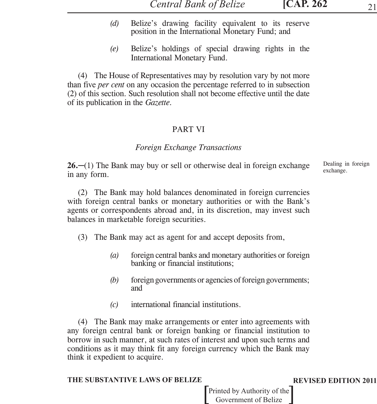- *(d)* Belize's drawing facility equivalent to its reserve position in the International Monetary Fund; and
- *(e)* Belize's holdings of special drawing rights in the International Monetary Fund.

(4) The House of Representatives may by resolution vary by not more than five *per cent* on any occasion the percentage referred to in subsection (2) of this section. Such resolution shall not become effective until the date of its publication in the *Gazette.*

## PART VI

## *Foreign Exchange Transactions*

**26.**─(1) The Bank may buy or sell or otherwise deal in foreign exchange in any form.

(2) The Bank may hold balances denominated in foreign currencies with foreign central banks or monetary authorities or with the Bank's agents or correspondents abroad and, in its discretion, may invest such balances in marketable foreign securities.

- (3) The Bank may act as agent for and accept deposits from,
	- *(a)* foreign central banks and monetary authorities or foreign banking or financial institutions;
	- *(b)* foreign governments or agencies of foreign governments; and
	- *(c)* international financial institutions.

(4) The Bank may make arrangements or enter into agreements with any foreign central bank or foreign banking or financial institution to borrow in such manner, at such rates of interest and upon such terms and conditions as it may think fit any foreign currency which the Bank may think it expedient to acquire.

### **THE SUBSTANTIVE LAWS OF BELIZE REVISED EDITION 2011**

Printed by Authority of the Government of Belize

Dealing in foreign exchange.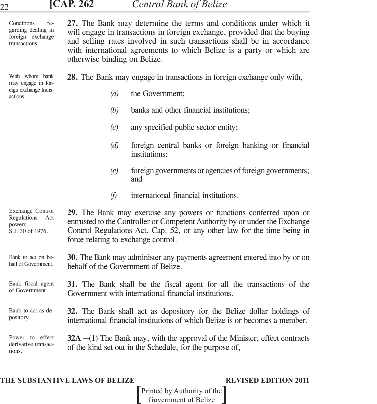| <b>[CAP. 262</b><br><b>Central Bank of Belize</b><br>22 |  |
|---------------------------------------------------------|--|
|---------------------------------------------------------|--|

| Conditions<br>re-<br>garding dealing in<br>foreign exchange<br>transactions. | 27. The Bank may determine the terms and conditions under which it<br>will engage in transactions in foreign exchange, provided that the buying<br>and selling rates involved in such transactions shall be in accordance<br>with international agreements to which Belize is a party or which are<br>otherwise binding on Belize. |  |  |
|------------------------------------------------------------------------------|------------------------------------------------------------------------------------------------------------------------------------------------------------------------------------------------------------------------------------------------------------------------------------------------------------------------------------|--|--|
| With whom bank<br>may engage in for-                                         | 28. The Bank may engage in transactions in foreign exchange only with,                                                                                                                                                                                                                                                             |  |  |
| eign exchange trans-<br>actions.                                             | (a)<br>the Government;                                                                                                                                                                                                                                                                                                             |  |  |
|                                                                              | (b)<br>banks and other financial institutions;                                                                                                                                                                                                                                                                                     |  |  |
|                                                                              | any specified public sector entity;<br>(c)                                                                                                                                                                                                                                                                                         |  |  |
|                                                                              | foreign central banks or foreign banking or financial<br>(d)<br>institutions;                                                                                                                                                                                                                                                      |  |  |
|                                                                              | foreign governments or agencies of foreign governments;<br>(e)<br>and                                                                                                                                                                                                                                                              |  |  |
|                                                                              | international financial institutions.<br>(f)                                                                                                                                                                                                                                                                                       |  |  |
| Exchange Control<br>Regulations Act<br>powers.<br>S.I. 30 of 1976.           | 29. The Bank may exercise any powers or functions conferred upon or<br>entrusted to the Controller or Competent Authority by or under the Exchange<br>Control Regulations Act, Cap. 52, or any other law for the time being in<br>force relating to exchange control.                                                              |  |  |
| Bank to act on be-<br>half of Government.                                    | 30. The Bank may administer any payments agreement entered into by or on<br>behalf of the Government of Belize.                                                                                                                                                                                                                    |  |  |
| Bank fiscal agent<br>of Government.                                          | 31. The Bank shall be the fiscal agent for all the transactions of the<br>Government with international financial institutions.                                                                                                                                                                                                    |  |  |
| Bank to act as de-<br>pository.                                              | 32. The Bank shall act as depository for the Belize dollar holdings of<br>international financial institutions of which Belize is or becomes a member.                                                                                                                                                                             |  |  |
| Power to effect<br>derivative transac-<br>tions.                             | $32A - (1)$ The Bank may, with the approval of the Minister, effect contracts<br>of the kind set out in the Schedule, for the purpose of,                                                                                                                                                                                          |  |  |

## **THE SUBSTANTIVE LAWS OF BELIZE REVISED EDITION 2011**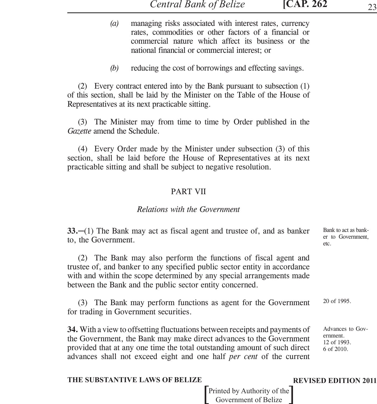- *(a)* managing risks associated with interest rates, currency rates, commodities or other factors of a financial or commercial nature which affect its business or the national financial or commercial interest; or
- *(b)* reducing the cost of borrowings and effecting savings.

(2) Every contract entered into by the Bank pursuant to subsection (1) of this section, shall be laid by the Minister on the Table of the House of Representatives at its next practicable sitting.

(3) The Minister may from time to time by Order published in the *Gazette* amend the Schedule.

(4) Every Order made by the Minister under subsection (3) of this section, shall be laid before the House of Representatives at its next practicable sitting and shall be subject to negative resolution.

## PART VII

## *Relations with the Government*

advances shall not exceed eight and one half *per cent* of the current

| $33$ .—(1) The Bank may act as fiscal agent and trustee of, and as banker<br>to, the Government.                                                                                                                                                                                   | Bank to act as bank-<br>er to Government,<br>etc.         |
|------------------------------------------------------------------------------------------------------------------------------------------------------------------------------------------------------------------------------------------------------------------------------------|-----------------------------------------------------------|
| (2) The Bank may also perform the functions of fiscal agent and<br>trustee of, and banker to any specified public sector entity in accordance<br>with and within the scope determined by any special arrangements made<br>between the Bank and the public sector entity concerned. |                                                           |
| (3) The Bank may perform functions as agent for the Government<br>for trading in Government securities.                                                                                                                                                                            | 20 of 1995.                                               |
| <b>34.</b> With a view to offsetting fluctuations between receipts and payments of<br>the Government, the Bank may make direct advances to the Government<br>provided that at any one time the total outstanding amount of such direct                                             | Advances to Gov-<br>ernment.<br>12 of 1993.<br>6 of 2010. |

## **THE SUBSTANTIVE LAWS OF BELIZE REVISED EDITION 2011**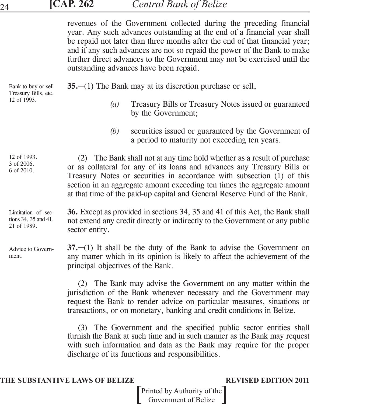# **[CAP. 262** *Central Bank of Belize* <sup>24</sup>

revenues of the Government collected during the preceding financial year. Any such advances outstanding at the end of a financial year shall be repaid not later than three months after the end of that financial year; and if any such advances are not so repaid the power of the Bank to make further direct advances to the Government may not be exercised until the outstanding advances have been repaid.

| Bank to buy or sell<br>Treasury Bills, etc.<br>12 of 1993. | $35-$ (1) The Bank may at its discretion purchase or sell,                                                                                                                                                                                                                                                                                                                            |
|------------------------------------------------------------|---------------------------------------------------------------------------------------------------------------------------------------------------------------------------------------------------------------------------------------------------------------------------------------------------------------------------------------------------------------------------------------|
|                                                            | Treasury Bills or Treasury Notes issued or guaranteed<br>$\left(a\right)$<br>by the Government;                                                                                                                                                                                                                                                                                       |
|                                                            | securities issued or guaranteed by the Government of<br>(b)<br>a period to maturity not exceeding ten years.                                                                                                                                                                                                                                                                          |
| 12 of 1993.<br>3 of 2006.<br>6 of 2010.                    | (2) The Bank shall not at any time hold whether as a result of purchase<br>or as collateral for any of its loans and advances any Treasury Bills or<br>Treasury Notes or securities in accordance with subsection (1) of this<br>section in an aggregate amount exceeding ten times the aggregate amount<br>at that time of the paid-up capital and General Reserve Fund of the Bank. |
| Limitation of sec-<br>tions 34, 35 and 41.<br>21 of 1989.  | <b>36.</b> Except as provided in sections 34, 35 and 41 of this Act, the Bank shall<br>not extend any credit directly or indirectly to the Government or any public<br>sector entity.                                                                                                                                                                                                 |
| Advice to Govern-<br>ment.                                 | $37$ . $-$ (1) It shall be the duty of the Bank to advise the Government on<br>any matter which in its opinion is likely to affect the achievement of the<br>principal objectives of the Bank.                                                                                                                                                                                        |
|                                                            |                                                                                                                                                                                                                                                                                                                                                                                       |

(2) The Bank may advise the Government on any matter within the jurisdiction of the Bank whenever necessary and the Government may request the Bank to render advice on particular measures, situations or transactions, or on monetary, banking and credit conditions in Belize.

(3) The Government and the specified public sector entities shall furnish the Bank at such time and in such manner as the Bank may request with such information and data as the Bank may require for the proper discharge of its functions and responsibilities.

## **THE SUBSTANTIVE LAWS OF BELIZE REVISED EDITION 2011**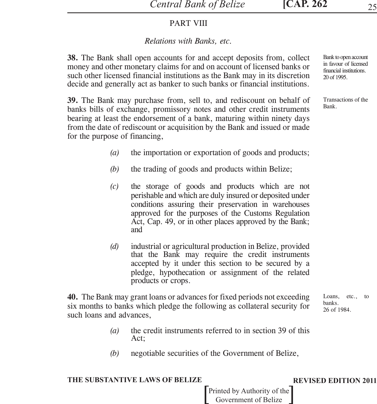## PART VIII

## *Relations with Banks, etc.*

**38.** The Bank shall open accounts for and accept deposits from, collect money and other monetary claims for and on account of licensed banks or such other licensed financial institutions as the Bank may in its discretion decide and generally act as banker to such banks or financial institutions.

**39.** The Bank may purchase from, sell to, and rediscount on behalf of banks bills of exchange, promissory notes and other credit instruments bearing at least the endorsement of a bank, maturing within ninety days from the date of rediscount or acquisition by the Bank and issued or made for the purpose of financing,

- *(a)* the importation or exportation of goods and products;
- *(b)* the trading of goods and products within Belize;
- *(c)* the storage of goods and products which are not perishable and which are duly insured or deposited under conditions assuring their preservation in warehouses approved for the purposes of the Customs Regulation Act, Cap. 49, or in other places approved by the Bank; and
- *(d)* industrial or agricultural production in Belize, provided that the Bank may require the credit instruments accepted by it under this section to be secured by a pledge, hypothecation or assignment of the related products or crops.

**40.** The Bank may grant loans or advances for fixed periods not exceeding six months to banks which pledge the following as collateral security for such loans and advances, Loans, etc., to banks. 26 of 1984.

- *(a)* the credit instruments referred to in section 39 of this Act;
- *(b)* negotiable securities of the Government of Belize,

### **THE SUBSTANTIVE LAWS OF BELIZE REVISED EDITION 2011**

Printed by Authority of the Government of Belize

Bank to open account in favour of licensed financial institutions. 20 of 1995.

Transactions of the Bank.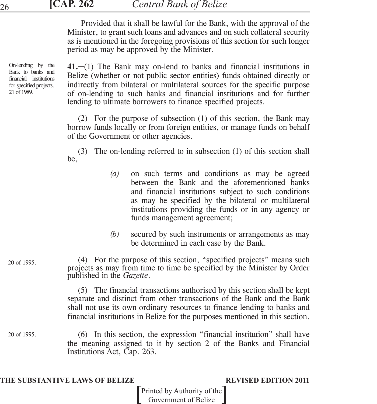Provided that it shall be lawful for the Bank, with the approval of the Minister, to grant such loans and advances and on such collateral security as is mentioned in the foregoing provisions of this section for such longer period as may be approved by the Minister.

On-lending by the Bank to banks and financial institutions for specified projects. 21 of 1989.

20 of 1995.

20 of 1995.

**41.**─(1) The Bank may on-lend to banks and financial institutions in Belize (whether or not public sector entities) funds obtained directly or indirectly from bilateral or multilateral sources for the specific purpose of on-lending to such banks and financial institutions and for further lending to ultimate borrowers to finance specified projects.

(2) For the purpose of subsection (1) of this section, the Bank may borrow funds locally or from foreign entities, or manage funds on behalf of the Government or other agencies.

(3) The on-lending referred to in subsection (1) of this section shall be,

- *(a)* on such terms and conditions as may be agreed between the Bank and the aforementioned banks and financial institutions subject to such conditions as may be specified by the bilateral or multilateral institutions providing the funds or in any agency or funds management agreement;
- *(b)* secured by such instruments or arrangements as may be determined in each case by the Bank.

(4) For the purpose of this section, "specified projects" means such projects as may from time to time be specified by the Minister by Order published in the *Gazette*.

(5) The financial transactions authorised by this section shall be kept separate and distinct from other transactions of the Bank and the Bank shall not use its own ordinary resources to finance lending to banks and financial institutions in Belize for the purposes mentioned in this section.

(6) In this section, the expression "financial institution" shall have the meaning assigned to it by section 2 of the Banks and Financial Institutions Act, Cap. 263.

### **THE SUBSTANTIVE LAWS OF BELIZE REVISED EDITION 2011**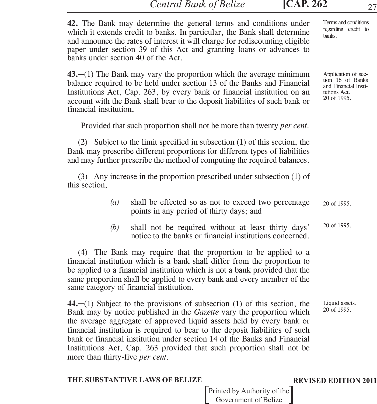*Central Bank of Belize* **[CAP. 262** 27

**42.** The Bank may determine the general terms and conditions under which it extends credit to banks. In particular, the Bank shall determine and announce the rates of interest it will charge for rediscounting eligible paper under section 39 of this Act and granting loans or advances to banks under section 40 of the Act.

**43.**─(1) The Bank may vary the proportion which the average minimum balance required to be held under section 13 of the Banks and Financial Institutions Act, Cap. 263, by every bank or financial institution on an account with the Bank shall bear to the deposit liabilities of such bank or financial institution,

Provided that such proportion shall not be more than twenty *per cent.*

(2) Subject to the limit specified in subsection (1) of this section, the Bank may prescribe different proportions for different types of liabilities and may further prescribe the method of computing the required balances.

(3) Any increase in the proportion prescribed under subsection (1) of this section,

- *(a)* shall be effected so as not to exceed two percentage points in any period of thirty days; and 20 of 1995.
- *(b)* shall not be required without at least thirty days' notice to the banks or financial institutions concerned. 20 of 1995.

(4) The Bank may require that the proportion to be applied to a financial institution which is a bank shall differ from the proportion to be applied to a financial institution which is not a bank provided that the same proportion shall be applied to every bank and every member of the same category of financial institution.

**44.**─(1) Subject to the provisions of subsection (1) of this section, the Bank may by notice published in the *Gazette* vary the proportion which the average aggregate of approved liquid assets held by every bank or financial institution is required to bear to the deposit liabilities of such bank or financial institution under section 14 of the Banks and Financial Institutions Act, Cap. 263 provided that such proportion shall not be more than thirty-five *per cent.*

### **THE SUBSTANTIVE LAWS OF BELIZE REVISED EDITION 2011**

Printed by Authority of the Government of Belize

Terms and conditions regarding credit to banks.

Application of section 16 of Banks and Financial Institutions Act. 20 of 1995.

Liquid assets.

20 of 1995.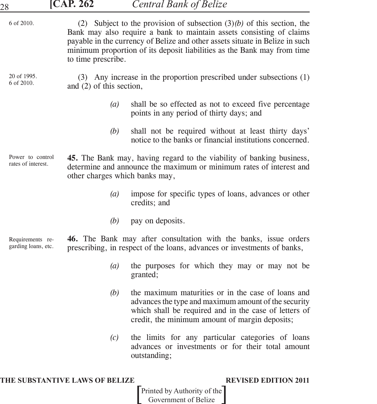| 28                                      | <b>[CAP. 262</b>         | <b>Central Bank of Belize</b>                                                                                                                                                                                                                                                                               |
|-----------------------------------------|--------------------------|-------------------------------------------------------------------------------------------------------------------------------------------------------------------------------------------------------------------------------------------------------------------------------------------------------------|
| 6 of 2010.                              | to time prescribe.       | (2) Subject to the provision of subsection $(3)(b)$ of this section, the<br>Bank may also require a bank to maintain assets consisting of claims<br>payable in the currency of Belize and other assets situate in Belize in such<br>minimum proportion of its deposit liabilities as the Bank may from time |
| 20 of 1995.<br>6 of 2010.               | and (2) of this section, | (3) Any increase in the proportion prescribed under subsections (1)                                                                                                                                                                                                                                         |
|                                         |                          | shall be so effected as not to exceed five percentage<br>(a)<br>points in any period of thirty days; and                                                                                                                                                                                                    |
|                                         |                          | (b)<br>shall not be required without at least thirty days'<br>notice to the banks or financial institutions concerned.                                                                                                                                                                                      |
| Power to control<br>rates of interest.  |                          | 45. The Bank may, having regard to the viability of banking business,<br>determine and announce the maximum or minimum rates of interest and<br>other charges which banks may,                                                                                                                              |
|                                         |                          | impose for specific types of loans, advances or other<br>(a)<br>credits; and                                                                                                                                                                                                                                |
|                                         |                          | (b)<br>pay on deposits.                                                                                                                                                                                                                                                                                     |
| Requirements re-<br>garding loans, etc. |                          | 46. The Bank may after consultation with the banks, issue orders<br>prescribing, in respect of the loans, advances or investments of banks,                                                                                                                                                                 |
|                                         |                          | (a)<br>the purposes for which they may or may not be<br>granted;                                                                                                                                                                                                                                            |
|                                         |                          | the maximum maturities or in the case of loans and<br>(b)<br>advances the type and maximum amount of the security<br>which shall be required and in the case of letters of<br>credit, the minimum amount of margin deposits;                                                                                |
|                                         |                          | the limits for any particular categories of loans<br>(c)<br>advances or investments or for their total amount<br>outstanding;                                                                                                                                                                               |
|                                         |                          |                                                                                                                                                                                                                                                                                                             |

## **THE SUBSTANTIVE LAWS OF BELIZE REVISED EDITION 2011**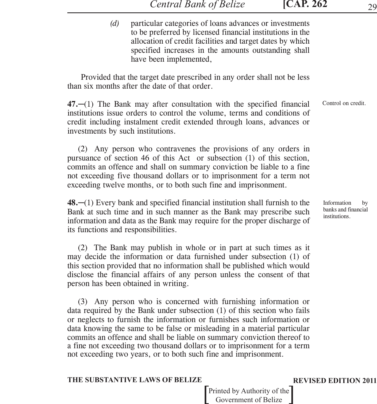*(d)* particular categories of loans advances or investments to be preferred by licensed financial institutions in the allocation of credit facilities and target dates by which specified increases in the amounts outstanding shall have been implemented,

Provided that the target date prescribed in any order shall not be less than six months after the date of that order.

**47.**─(1) The Bank may after consultation with the specified financial institutions issue orders to control the volume, terms and conditions of credit including instalment credit extended through loans, advances or investments by such institutions. Control on credit.

(2) Any person who contravenes the provisions of any orders in pursuance of section 46 of this Act or subsection (1) of this section, commits an offence and shall on summary conviction be liable to a fine not exceeding five thousand dollars or to imprisonment for a term not exceeding twelve months, or to both such fine and imprisonment.

**48.**─(1) Every bank and specified financial institution shall furnish to the Bank at such time and in such manner as the Bank may prescribe such information and data as the Bank may require for the proper discharge of its functions and responsibilities.

(2) The Bank may publish in whole or in part at such times as it may decide the information or data furnished under subsection (1) of this section provided that no information shall be published which would disclose the financial affairs of any person unless the consent of that person has been obtained in writing.

(3) Any person who is concerned with furnishing information or data required by the Bank under subsection (1) of this section who fails or neglects to furnish the information or furnishes such information or data knowing the same to be false or misleading in a material particular commits an offence and shall be liable on summary conviction thereof to a fine not exceeding two thousand dollars or to imprisonment for a term not exceeding two years, or to both such fine and imprisonment.

### **THE SUBSTANTIVE LAWS OF BELIZE REVISED EDITION 2011**

Printed by Authority of the Government of Belize

Information by banks and financial institutions.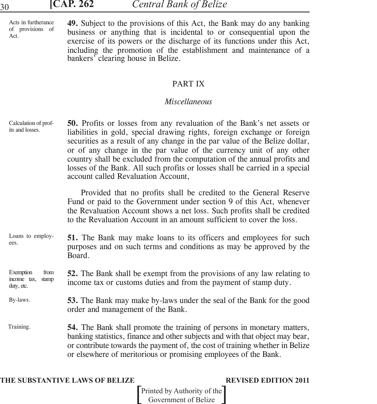Acts in furtherance of provisions of Act.

**49.** Subject to the provisions of this Act, the Bank may do any banking business or anything that is incidental to or consequential upon the exercise of its powers or the discharge of its functions under this Act, including the promotion of the establishment and maintenance of a bankers' clearing house in Belize.

## PART IX

## *Miscellaneous*

| Calculation of prof-<br>its and losses.                 | <b>50.</b> Profits or losses from any revaluation of the Bank's net assets or<br>liabilities in gold, special drawing rights, foreign exchange or foreign<br>securities as a result of any change in the par value of the Belize dollar,<br>or of any change in the par value of the currency unit of any other<br>country shall be excluded from the computation of the annual profits and<br>losses of the Bank. All such profits or losses shall be carried in a special<br>account called Revaluation Account, |
|---------------------------------------------------------|--------------------------------------------------------------------------------------------------------------------------------------------------------------------------------------------------------------------------------------------------------------------------------------------------------------------------------------------------------------------------------------------------------------------------------------------------------------------------------------------------------------------|
|                                                         | Provided that no profits shall be credited to the General Reserve<br>Fund or paid to the Government under section 9 of this Act, whenever<br>the Revaluation Account shows a net loss. Such profits shall be credited<br>to the Revaluation Account in an amount sufficient to cover the loss.                                                                                                                                                                                                                     |
| Loans to employ-<br>ees.                                | <b>51.</b> The Bank may make loans to its officers and employees for such<br>purposes and on such terms and conditions as may be approved by the<br>Board.                                                                                                                                                                                                                                                                                                                                                         |
| Exemption<br>from<br>income tax,<br>stamp<br>duty, etc. | 52. The Bank shall be exempt from the provisions of any law relating to<br>income tax or customs duties and from the payment of stamp duty.                                                                                                                                                                                                                                                                                                                                                                        |
| By-laws.                                                | <b>53.</b> The Bank may make by-laws under the seal of the Bank for the good<br>order and management of the Bank.                                                                                                                                                                                                                                                                                                                                                                                                  |
| Training.                                               | 54. The Bank shall promote the training of persons in monetary matters,<br>banking statistics, finance and other subjects and with that object may bear,<br>or contribute towards the payment of, the cost of training whether in Belize<br>or elsewhere of meritorious or promising employees of the Bank.                                                                                                                                                                                                        |

## **THE SUBSTANTIVE LAWS OF BELIZE REVISED EDITION 2011**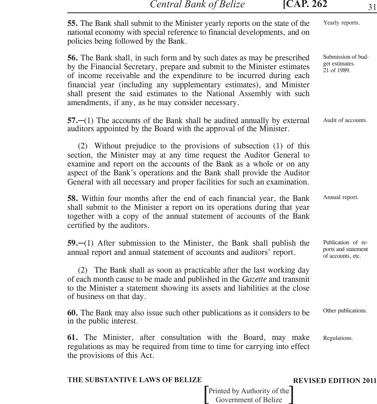*Central Bank of Belize* **[CAP. 262** 31

| 55. The Bank shall submit to the Minister yearly reports on the state of the<br>national economy with special reference to financial developments, and on<br>policies being followed by the Bank.                                                                                                                                                                                                                              | Yearly reports.                                                |
|--------------------------------------------------------------------------------------------------------------------------------------------------------------------------------------------------------------------------------------------------------------------------------------------------------------------------------------------------------------------------------------------------------------------------------|----------------------------------------------------------------|
| 56. The Bank shall, in such form and by such dates as may be prescribed<br>by the Financial Secretary, prepare and submit to the Minister estimates<br>of income receivable and the expenditure to be incurred during each<br>financial year (including any supplementary estimates), and Minister<br>shall present the said estimates to the National Assembly with such<br>amendments, if any, as he may consider necessary. | Submission of bud-<br>get estimates.<br>21 of 1989.            |
| $57$ .—(1) The accounts of the Bank shall be audited annually by external<br>auditors appointed by the Board with the approval of the Minister.                                                                                                                                                                                                                                                                                | Audit of accounts.                                             |
| (2) Without prejudice to the provisions of subsection (1) of this<br>section, the Minister may at any time request the Auditor General to<br>examine and report on the accounts of the Bank as a whole or on any<br>aspect of the Bank's operations and the Bank shall provide the Auditor<br>General with all necessary and proper facilities for such an examination.                                                        |                                                                |
| 58. Within four months after the end of each financial year, the Bank<br>shall submit to the Minister a report on its operations during that year<br>together with a copy of the annual statement of accounts of the Bank<br>certified by the auditors.                                                                                                                                                                        | Annual report.                                                 |
| $59$ . $-(1)$ After submission to the Minister, the Bank shall publish the<br>annual report and annual statement of accounts and auditors' report.                                                                                                                                                                                                                                                                             | Publication of re-<br>ports and statement<br>of accounts, etc. |
| (2) The Bank shall as soon as practicable after the last working day<br>of each month cause to be made and published in the Gazette and transmit<br>to the Minister a statement showing its assets and liabilities at the close<br>of business on that day.                                                                                                                                                                    |                                                                |
| 60. The Bank may also issue such other publications as it considers to be<br>in the public interest.                                                                                                                                                                                                                                                                                                                           | Other publications.                                            |
| 61. The Minister, after consultation with the Board, may make<br>regulations as may be required from time to time for carrying into effect<br>the provisions of this Act.                                                                                                                                                                                                                                                      | Regulations.                                                   |
|                                                                                                                                                                                                                                                                                                                                                                                                                                |                                                                |

## **THE SUBSTANTIVE LAWS OF BELIZE REVISED EDITION 2011**

Printed by Authority of the<sup>-</sup> Government of Belize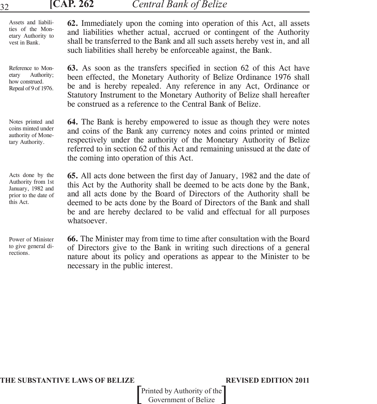| 32                                                                                               | <b>CAP. 262</b><br><b>Central Bank of Belize</b>                                                                                                                                                                                                                                                                                                                                                     |
|--------------------------------------------------------------------------------------------------|------------------------------------------------------------------------------------------------------------------------------------------------------------------------------------------------------------------------------------------------------------------------------------------------------------------------------------------------------------------------------------------------------|
| Assets and liabili-<br>ties of the Mon-<br>etary Authority to<br>vest in Bank.                   | 62. Immediately upon the coming into operation of this Act, all assets<br>and liabilities whether actual, accrued or contingent of the Authority<br>shall be transferred to the Bank and all such assets hereby vest in, and all<br>such liabilities shall hereby be enforceable against, the Bank.                                                                                                  |
| Reference to Mon-<br>Authority;<br>etary<br>how construed.<br>Repeal of 9 of 1976.               | 63. As soon as the transfers specified in section 62 of this Act have<br>been effected, the Monetary Authority of Belize Ordinance 1976 shall<br>be and is hereby repealed. Any reference in any Act, Ordinance or<br>Statutory Instrument to the Monetary Authority of Belize shall hereafter<br>be construed as a reference to the Central Bank of Belize.                                         |
| Notes printed and<br>coins minted under<br>authority of Mone-<br>tary Authority.                 | 64. The Bank is hereby empowered to issue as though they were notes<br>and coins of the Bank any currency notes and coins printed or minted<br>respectively under the authority of the Monetary Authority of Belize<br>referred to in section 62 of this Act and remaining unissued at the date of<br>the coming into operation of this Act.                                                         |
| Acts done by the<br>Authority from 1st<br>January, 1982 and<br>prior to the date of<br>this Act. | <b>65.</b> All acts done between the first day of January, 1982 and the date of<br>this Act by the Authority shall be deemed to be acts done by the Bank,<br>and all acts done by the Board of Directors of the Authority shall be<br>deemed to be acts done by the Board of Directors of the Bank and shall<br>be and are hereby declared to be valid and effectual for all purposes<br>whatsoever. |
| Power of Minister                                                                                | 66. The Minister may from time to time after consultation with the Board                                                                                                                                                                                                                                                                                                                             |

necessary in the public interest.

**THE SUBSTANTIVE LAWS OF BELIZE REVISED EDITION 2011**

to give general directions.

Printed by Authority of the Government of Belize

of Directors give to the Bank in writing such directions of a general nature about its policy and operations as appear to the Minister to be